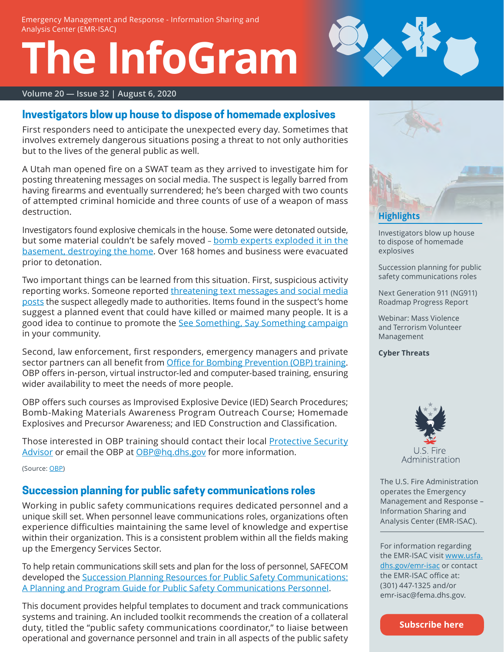# **The InfoGram**



#### **Volume 20 — Issue 32 | August 6, 2020**

### <span id="page-0-0"></span>**Investigators blow up house to dispose of homemade explosives**

First responders need to anticipate the unexpected every day. Sometimes that involves extremely dangerous situations posing a threat to not only authorities but to the lives of the general public as well.

A Utah man opened fire on a SWAT team as they arrived to investigate him for posting threatening messages on social media. The suspect is legally barred from having firearms and eventually surrendered; he's been charged with two counts of attempted criminal homicide and three counts of use of a weapon of mass destruction.

Investigators found explosive chemicals in the house. Some were detonated outside, but some material couldn't be safely moved – [bomb experts exploded it in the](https://kutv.com/news/local/south-jordan-man-whose-home-was-blown-up-had-20-pounds-of-explosives-inside)  [basement, destroying the home](https://kutv.com/news/local/south-jordan-man-whose-home-was-blown-up-had-20-pounds-of-explosives-inside). Over 168 homes and business were evacuated prior to detonation.

Two important things can be learned from this situation. First, suspicious activity reporting works. Someone reported [threatening text messages and social media](https://www.sltrib.com/news/2020/07/29/south-jordan-man-charged/) [posts](https://www.sltrib.com/news/2020/07/29/south-jordan-man-charged/) the suspect allegedly made to authorities. Items found in the suspect's home suggest a planned event that could have killed or maimed many people. It is a good idea to continue to promote the [See Something, Say Something campaign](https://www.dhs.gov/see-something-say-something) in your community.

Second, law enforcement, first responders, emergency managers and private sector partners can all benefit from [Office for Bombing Prevention \(OBP\) training](https://www.cisa.gov/office-bombing-prevention-obp). OBP offers in-person, virtual instructor-led and computer-based training, ensuring wider availability to meet the needs of more people.

OBP offers such courses as Improvised Explosive Device (IED) Search Procedures; Bomb-Making Materials Awareness Program Outreach Course; Homemade Explosives and Precursor Awareness; and IED Construction and Classification.

Those interested in OBP training should contact their local Protective Security [Advisor](https://www.cisa.gov/protective-security-advisors) or email the OBP at [OBP@hq.dhs.gov](mailto:obp@hq.dhs.gov) for more information.

(Source: OBP)

## <span id="page-0-1"></span>**Succession planning for public safety communications roles**

Working in public safety communications requires dedicated personnel and a unique skill set. When personnel leave communications roles, organizations often experience difficulties maintaining the same level of knowledge and expertise within their organization. This is a consistent problem within all the fields making up the Emergency Services Sector.

To help retain communications skill sets and plan for the loss of personnel, SAFECOM developed the [Succession Planning Resources for Public Safety Communications](https://www.cisa.gov/sites/default/files/publications/Succession_Planning_Guide_FINAL_07-28-2020-508c.pdf): A Planning and Program Guide for Public Safety Communications Personnel.

This document provides helpful templates to document and track communications systems and training. An included toolkit recommends the creation of a collateral duty, titled the "public safety communications coordinator," to liaise between operational and governance personnel and train in all aspects of the public safety



[Investigators blow up house](#page-0-0)  [to dispose of homemade](#page-0-0)  [explosives](#page-0-0)

[Succession planning for public](#page-0-1)  [safety communications roles](#page-0-1)

[Next Generation 911 \(NG911\)](#page-1-0)  [Roadmap Progress Report](#page-1-0)

[Webinar: Mass Violence](#page-1-1)  [and Terrorism Volunteer](#page-1-1)  [Management](#page-1-1)

**[Cyber Threats](#page-2-0)**



The U.S. Fire Administration operates the Emergency Management and Response – Information Sharing and Analysis Center (EMR-ISAC).

For information regarding the EMR-ISAC visit [www.usfa.](https://www.usfa.dhs.gov/emr-isac) [dhs.gov/emr-isac](https://www.usfa.dhs.gov/emr-isac) or contact the EMR-ISAC office at: (301) 447-1325 and/or [emr-isac@fema.dhs.gov.](mailto:emr-isac%40fema.dhs.gov?subject=)

**[Subscribe here](https://public.govdelivery.com/accounts/USDHSFACIR/subscriber/new?pop=t&topic_id=USDHSFACIR_1)**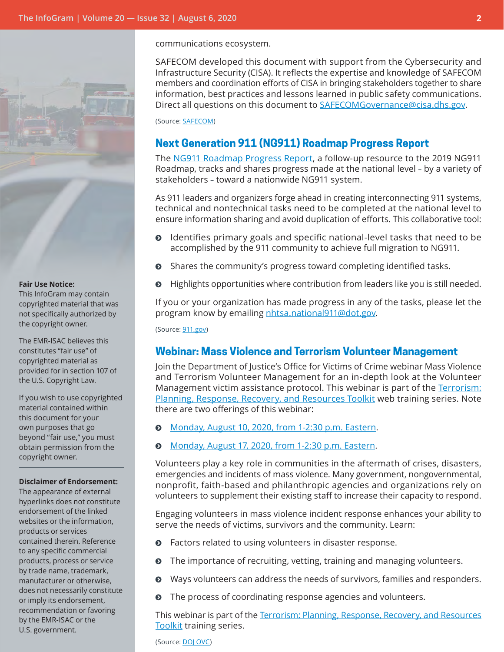

#### **Fair Use Notice:**

This InfoGram may contain copyrighted material that was not specifically authorized by the copyright owner.

The EMR-ISAC believes this constitutes "fair use" of copyrighted material as provided for in section 107 of the U.S. Copyright Law.

If you wish to use copyrighted material contained within this document for your own purposes that go beyond "fair use," you must obtain permission from the copyright owner.

#### **Disclaimer of Endorsement:**

The appearance of external hyperlinks does not constitute endorsement of the linked websites or the information, products or services contained therein. Reference to any specific commercial products, process or service by trade name, trademark, manufacturer or otherwise, does not necessarily constitute or imply its endorsement, recommendation or favoring by the EMR-ISAC or the U.S. government.

communications ecosystem.

SAFECOM developed this document with support from the Cybersecurity and Infrastructure Security (CISA). It reflects the expertise and knowledge of SAFECOM members and coordination efforts of CISA in bringing stakeholders together to share information, best practices and lessons learned in public safety communications. Direct all questions on this document to [SAFECOMGovernance@cisa.dhs.gov](mailto:SAFECOMGovernance@cisa.dhs.gov).

(Source: [SAFECOM](https://www.cisa.gov/safecom))

## <span id="page-1-0"></span>**Next Generation 911 (NG911) Roadmap Progress Report**

The [NG911 Roadmap Progress Report](https://www.911.gov/project_ng911roadmapprogress.html), a follow-up resource to the 2019 NG911 Roadmap, tracks and shares progress made at the national level – by a variety of stakeholders – toward a nationwide NG911 system.

As 911 leaders and organizers forge ahead in creating interconnecting 911 systems, technical and nontechnical tasks need to be completed at the national level to ensure information sharing and avoid duplication of efforts. This collaborative tool:

- $\odot$  Identifies primary goals and specific national-level tasks that need to be accomplished by the 911 community to achieve full migration to NG911.
- **•** Shares the community's progress toward completing identified tasks.
- Highlights opportunities where contribution from leaders like you is still needed.

If you or your organization has made progress in any of the tasks, please let the program know by emailing [nhtsa.national911@dot.gov](mailto:nhtsa.national911@dot.gov).

(Source: [911.gov\)](https://www.911.gov/project_ng911roadmapprogress.html)

#### <span id="page-1-1"></span>**Webinar: Mass Violence and Terrorism Volunteer Management**

Join the Department of Justice's Office for Victims of Crime webinar Mass Violence and Terrorism Volunteer Management for an in-depth look at the Volunteer Management victim assistance protocol. This webinar is part of the Terrorism: [Planning, Response, Recovery, and Resources Toolkit](https://ovc.ojp.gov/sites/g/files/xyckuh226/files/pubs/mvt-toolkit/index.html) web training series. Note there are two offerings of this webinar:

- $\odot$  [Monday, August 10, 2020, from 1-2:30 p.m. Eastern](https://www.ncjrs.gov/App/EventsCalendar/CalendarSearchDetail.aspx?strConfID=33132).
- $\odot$  [Monday, August 17, 2020, from 1-2:30 p.m. Eastern](https://www.ncjrs.gov/App/EventsCalendar/CalendarSearchDetail.aspx?strConfID=33133).

Volunteers play a key role in communities in the aftermath of crises, disasters, emergencies and incidents of mass violence. Many government, nongovernmental, nonprofit, faith-based and philanthropic agencies and organizations rely on volunteers to supplement their existing staff to increase their capacity to respond.

Engaging volunteers in mass violence incident response enhances your ability to serve the needs of victims, survivors and the community. Learn:

- $\odot$  Factors related to using volunteers in disaster response.
- **•** The importance of recruiting, vetting, training and managing volunteers.
- $\odot$  Ways volunteers can address the needs of survivors, families and responders.
- The process of coordinating response agencies and volunteers.

This webinar is part of the [Terrorism: Planning, Response, Recovery, and Resources](https://ovc.ojp.gov/sites/g/files/xyckuh226/files/pubs/mvt-toolkit/index.html) [Toolkit](https://ovc.ojp.gov/sites/g/files/xyckuh226/files/pubs/mvt-toolkit/index.html) training series.

(Source: [DOJ OVC](https://ovc.ojp.gov/))